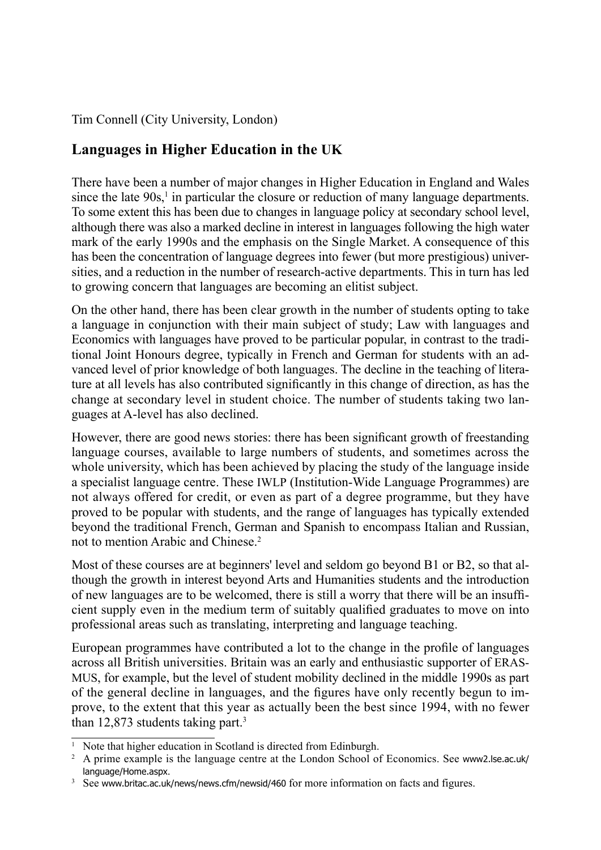Tim Connell (City University, London)

## **Languages in Higher Education in the UK**

There have been a number of major changes in Higher Education in England and Wales since the late  $90s$ ,<sup>1</sup> in particular the closure or reduction of many language departments. To some extent this has been due to changes in language policy at secondary school level, although there was also a marked decline in interest in languages following the high water mark of the early 1990s and the emphasis on the Single Market. A consequence of this has been the concentration of language degrees into fewer (but more prestigious) universities, and a reduction in the number of research-active departments. This in turn has led to growing concern that languages are becoming an elitist subject.

On the other hand, there has been clear growth in the number of students opting to take a language in conjunction with their main subject of study; Law with languages and Economics with languages have proved to be particular popular, in contrast to the traditional Joint Honours degree, typically in French and German for students with an advanced level of prior knowledge of both languages. The decline in the teaching of literature at all levels has also contributed significantly in this change of direction, as has the change at secondary level in student choice. The number of students taking two languages at A-level has also declined.

However, there are good news stories: there has been significant growth of freestanding language courses, available to large numbers of students, and sometimes across the whole university, which has been achieved by placing the study of the language inside a specialist language centre. These IWLP (Institution-Wide Language Programmes) are not always offered for credit, or even as part of a degree programme, but they have proved to be popular with students, and the range of languages has typically extended beyond the traditional French, German and Spanish to encompass Italian and Russian, not to mention Arabic and Chinese.2

Most of these courses are at beginners' level and seldom go beyond B1 or B2, so that although the growth in interest beyond Arts and Humanities students and the introduction of new languages are to be welcomed, there is still a worry that there will be an insufficient supply even in the medium term of suitably qualified graduates to move on into professional areas such as translating, interpreting and language teaching.

European programmes have contributed a lot to the change in the profile of languages across all British universities. Britain was an early and enthusiastic supporter of ERAS-MUS, for example, but the level of student mobility declined in the middle 1990s as part of the general decline in languages, and the figures have only recently begun to improve, to the extent that this year as actually been the best since 1994, with no fewer than 12,873 students taking part.<sup>3</sup>

<sup>&</sup>lt;sup>1</sup> Note that higher education in Scotland is directed from Edinburgh.

<sup>&</sup>lt;sup>2</sup> A prime example is the language centre at the London School of Economics. See www2.lse.ac.uk/ language/Home.aspx.

<sup>&</sup>lt;sup>3</sup> See www.britac.ac.uk/news/news.cfm/newsid/460 for more information on facts and figures.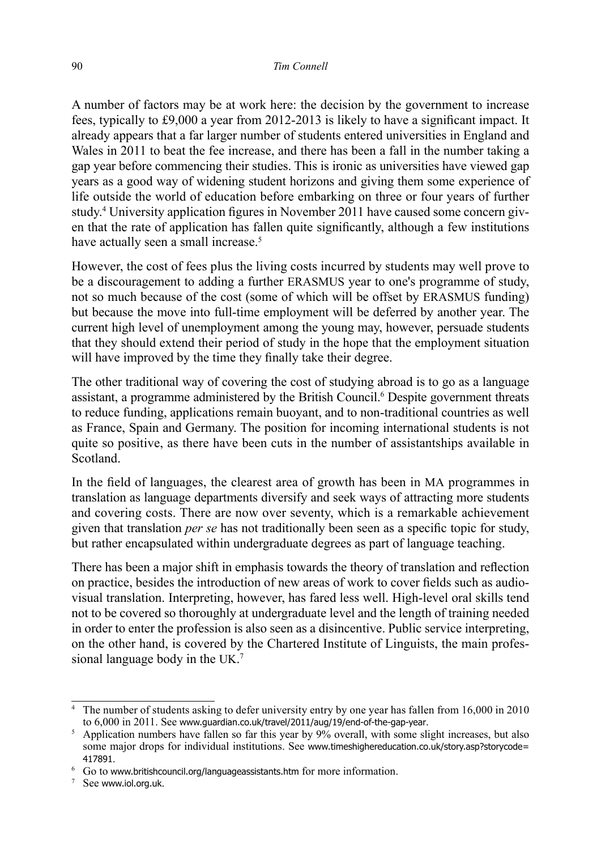A number of factors may be at work here: the decision by the government to increase fees, typically to £9,000 a year from 2012-2013 is likely to have a signicant impact. It already appears that a far larger number of students entered universities in England and Wales in 2011 to beat the fee increase, and there has been a fall in the number taking a gap year before commencing their studies. This is ironic as universities have viewed gap years as a good way of widening student horizons and giving them some experience of life outside the world of education before embarking on three or four years of further study.<sup>4</sup> University application figures in November 2011 have caused some concern given that the rate of application has fallen quite signicantly, although a few institutions have actually seen a small increase.<sup>5</sup>

However, the cost of fees plus the living costs incurred by students may well prove to be a discouragement to adding a further ERASMUS year to one's programme of study, not so much because of the cost (some of which will be offset by ERASMUS funding) but because the move into full-time employment will be deferred by another year. The current high level of unemployment among the young may, however, persuade students that they should extend their period of study in the hope that the employment situation will have improved by the time they finally take their degree.

The other traditional way of covering the cost of studying abroad is to go as a language assistant, a programme administered by the British Council.<sup>6</sup> Despite government threats to reduce funding, applications remain buoyant, and to non-traditional countries as well as France, Spain and Germany. The position for incoming international students is not quite so positive, as there have been cuts in the number of assistantships available in Scotland.

In the field of languages, the clearest area of growth has been in MA programmes in translation as language departments diversify and seek ways of attracting more students and covering costs. There are now over seventy, which is a remarkable achievement given that translation *per se* has not traditionally been seen as a specific topic for study, but rather encapsulated within undergraduate degrees as part of language teaching.

There has been a major shift in emphasis towards the theory of translation and reflection on practice, besides the introduction of new areas of work to cover fields such as audiovisual translation. Interpreting, however, has fared less well. High-level oral skills tend not to be covered so thoroughly at undergraduate level and the length of training needed in order to enter the profession is also seen as a disincentive. Public service interpreting, on the other hand, is covered by the Chartered Institute of Linguists, the main professional language body in the UK. 7

<sup>&</sup>lt;sup>4</sup> The number of students asking to defer university entry by one year has fallen from 16,000 in 2010 to 6,000 in 2011. See www.guardian.co.uk/travel/2011/aug/19/end-of-the-gap-year.

<sup>&</sup>lt;sup>5</sup> Application numbers have fallen so far this year by 9% overall, with some slight increases, but also some major drops for individual institutions. See www.timeshighereducation.co.uk/story.asp?storycode= 417891.

 $6\,$  Go to www.britishcouncil.org/languageassistants.htm for more information.

<sup>7</sup> See www.iol.org.uk.